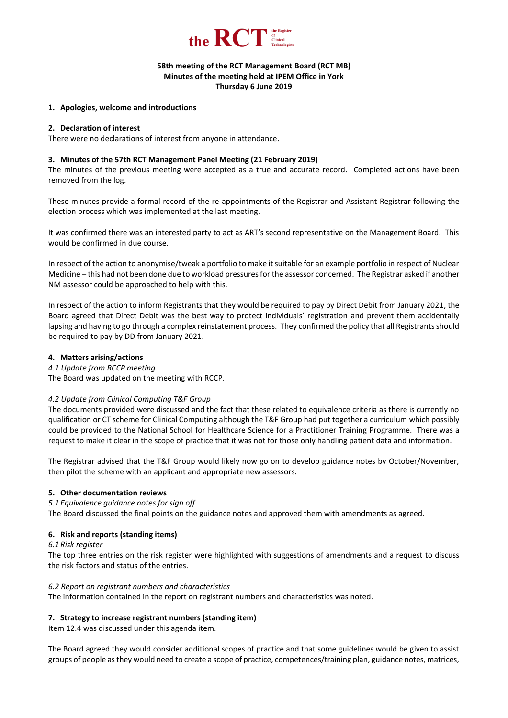

# **58th meeting of the RCT Management Board (RCT MB) Minutes of the meeting held at IPEM Office in York Thursday 6 June 2019**

### **1. Apologies, welcome and introductions**

### **2. Declaration of interest**

There were no declarations of interest from anyone in attendance.

### **3. Minutes of the 57th RCT Management Panel Meeting (21 February 2019)**

The minutes of the previous meeting were accepted as a true and accurate record. Completed actions have been removed from the log.

These minutes provide a formal record of the re-appointments of the Registrar and Assistant Registrar following the election process which was implemented at the last meeting.

It was confirmed there was an interested party to act as ART's second representative on the Management Board. This would be confirmed in due course.

In respect of the action to anonymise/tweak a portfolio to make it suitable for an example portfolio in respect of Nuclear Medicine – this had not been done due to workload pressures for the assessor concerned. The Registrar asked if another NM assessor could be approached to help with this.

In respect of the action to inform Registrants that they would be required to pay by Direct Debit from January 2021, the Board agreed that Direct Debit was the best way to protect individuals' registration and prevent them accidentally lapsing and having to go through a complex reinstatement process. They confirmed the policy that all Registrants should be required to pay by DD from January 2021.

### **4. Matters arising/actions**

*4.1 Update from RCCP meeting*

The Board was updated on the meeting with RCCP.

# *4.2 Update from Clinical Computing T&F Group*

The documents provided were discussed and the fact that these related to equivalence criteria as there is currently no qualification or CT scheme for Clinical Computing although the T&F Group had put together a curriculum which possibly could be provided to the National School for Healthcare Science for a Practitioner Training Programme. There was a request to make it clear in the scope of practice that it was not for those only handling patient data and information.

The Registrar advised that the T&F Group would likely now go on to develop guidance notes by October/November, then pilot the scheme with an applicant and appropriate new assessors.

# **5. Other documentation reviews**

*5.1 Equivalence guidance notes for sign off*

The Board discussed the final points on the guidance notes and approved them with amendments as agreed.

# **6. Risk and reports (standing items)**

*6.1 Risk register*

The top three entries on the risk register were highlighted with suggestions of amendments and a request to discuss the risk factors and status of the entries.

#### *6.2 Report on registrant numbers and characteristics*

The information contained in the report on registrant numbers and characteristics was noted.

# **7. Strategy to increase registrant numbers (standing item)**

Item 12.4 was discussed under this agenda item.

The Board agreed they would consider additional scopes of practice and that some guidelines would be given to assist groups of people as they would need to create a scope of practice, competences/training plan, guidance notes, matrices,